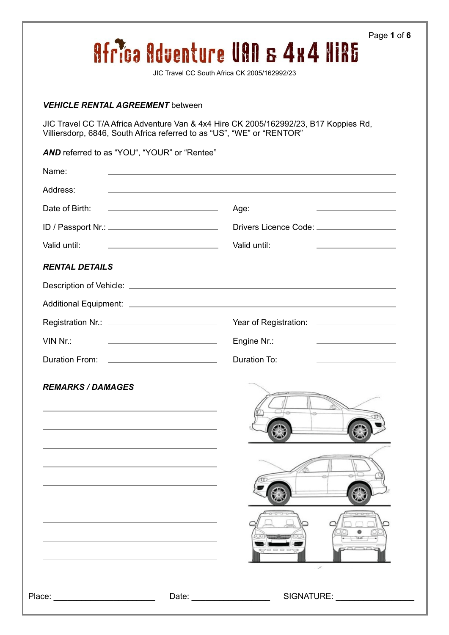| <b>VEHICLE RENTAL AGREEMENT between</b>                                                                                                                                                                                        |                                                                                                                                                                                                           |
|--------------------------------------------------------------------------------------------------------------------------------------------------------------------------------------------------------------------------------|-----------------------------------------------------------------------------------------------------------------------------------------------------------------------------------------------------------|
|                                                                                                                                                                                                                                | JIC Travel CC T/A Africa Adventure Van & 4x4 Hire CK 2005/162992/23, B17 Koppies Rd,<br>Villiersdorp, 6846, South Africa referred to as "US", "WE" or "RENTOR"                                            |
| AND referred to as "YOU", "YOUR" or "Rentee"                                                                                                                                                                                   |                                                                                                                                                                                                           |
| Name:                                                                                                                                                                                                                          | <u> 1980 - Johann Barbara, martxa alemaniar argumento de la contrada de la contrada de la contrada de la contrad</u>                                                                                      |
| Address:                                                                                                                                                                                                                       | <u> 1989 - Johann Harry Harry Harry Harry Harry Harry Harry Harry Harry Harry Harry Harry Harry Harry Harry Harry</u>                                                                                     |
| Date of Birth:                                                                                                                                                                                                                 | <u> 1980 - Andrea State Barbara, amerikan personal (h. 1980).</u><br>Age:<br><u> Alexandria de la contrada de la contrada de la contrada de la contrada de la contrada de la contrada de la c</u>         |
| ID / Passport Nr.: ______________________________                                                                                                                                                                              | Drivers Licence Code: _____________________                                                                                                                                                               |
| Valid until:                                                                                                                                                                                                                   | Valid until:<br><u> 1989 - Johann Barn, fransk politik amerikansk politik (</u><br><u> Alexander de la construcción de la construcción de la construcción de la construcción de la construcción de la</u> |
| <b>RENTAL DETAILS</b>                                                                                                                                                                                                          |                                                                                                                                                                                                           |
|                                                                                                                                                                                                                                |                                                                                                                                                                                                           |
|                                                                                                                                                                                                                                |                                                                                                                                                                                                           |
|                                                                                                                                                                                                                                |                                                                                                                                                                                                           |
| VIN Nr.:                                                                                                                                                                                                                       | Engine Nr.:<br>the control of the control of the control of the control of the control of<br>the control of the control of the control of the control of                                                  |
| <b>Duration From:</b>                                                                                                                                                                                                          | <b>Duration To:</b>                                                                                                                                                                                       |
| <b>REMARKS / DAMAGES</b>                                                                                                                                                                                                       |                                                                                                                                                                                                           |
| Place: The Contract of the Contract of the Contract of the Contract of the Contract of the Contract of the Contract of the Contract of the Contract of the Contract of the Contract of the Contract of the Contract of the Con | SIGNATURE:                                                                                                                                                                                                |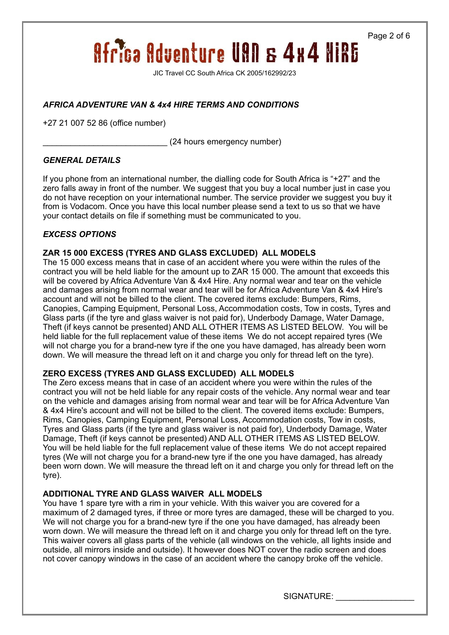Page 2 of 6

# **Africa Adventure UAN & 4x4 NIRE**

JIC Travel CC South Africa CK 2005/162992/23

## *AFRICA ADVENTURE VAN & 4x4 HIRE TERMS AND CONDITIONS*

+27 21 007 52 86 (office number)

\_\_\_\_\_\_\_\_\_\_\_\_\_\_\_\_\_\_\_\_\_\_\_\_\_\_\_ (24 hours emergency number)

### *GENERAL DETAILS*

If you phone from an international number, the dialling code for South Africa is "+27" and the zero falls away in front of the number. We suggest that you buy a local number just in case you do not have reception on your international number. The service provider we suggest you buy it from is Vodacom. Once you have this local number please send a text to us so that we have your contact details on file if something must be communicated to you.

### *EXCESS OPTIONS*

### **ZAR 15 000 EXCESS (TYRES AND GLASS EXCLUDED) ALL MODELS**

The 15 000 excess means that in case of an accident where you were within the rules of the contract you will be held liable for the amount up to ZAR 15 000. The amount that exceeds this will be covered by Africa Adventure Van & 4x4 Hire. Any normal wear and tear on the vehicle and damages arising from normal wear and tear will be for Africa Adventure Van & 4x4 Hire's account and will not be billed to the client. The covered items exclude: Bumpers, Rims, Canopies, Camping Equipment, Personal Loss, Accommodation costs, Tow in costs, Tyres and Glass parts (if the tyre and glass waiver is not paid for), Underbody Damage, Water Damage, Theft (if keys cannot be presented) AND ALL OTHER ITEMS AS LISTED BELOW. You will be held liable for the full replacement value of these items We do not accept repaired tyres (We will not charge you for a brand-new tyre if the one you have damaged, has already been worn down. We will measure the thread left on it and charge you only for thread left on the tyre).

### **ZERO EXCESS (TYRES AND GLASS EXCLUDED) ALL MODELS**

The Zero excess means that in case of an accident where you were within the rules of the contract you will not be held liable for any repair costs of the vehicle. Any normal wear and tear on the vehicle and damages arising from normal wear and tear will be for Africa Adventure Van & 4x4 Hire's account and will not be billed to the client. The covered items exclude: Bumpers, Rims, Canopies, Camping Equipment, Personal Loss, Accommodation costs, Tow in costs, Tyres and Glass parts (if the tyre and glass waiver is not paid for), Underbody Damage, Water Damage, Theft (if keys cannot be presented) AND ALL OTHER ITEMS AS LISTED BELOW. You will be held liable for the full replacement value of these items We do not accept repaired tyres (We will not charge you for a brand-new tyre if the one you have damaged, has already been worn down. We will measure the thread left on it and charge you only for thread left on the tyre).

### **ADDITIONAL TYRE AND GLASS WAIVER ALL MODELS**

You have 1 spare tyre with a rim in your vehicle. With this waiver you are covered for a maximum of 2 damaged tyres, if three or more tyres are damaged, these will be charged to you. We will not charge you for a brand-new tyre if the one you have damaged, has already been worn down. We will measure the thread left on it and charge you only for thread left on the tyre. This waiver covers all glass parts of the vehicle (all windows on the vehicle, all lights inside and outside, all mirrors inside and outside). It however does NOT cover the radio screen and does not cover canopy windows in the case of an accident where the canopy broke off the vehicle.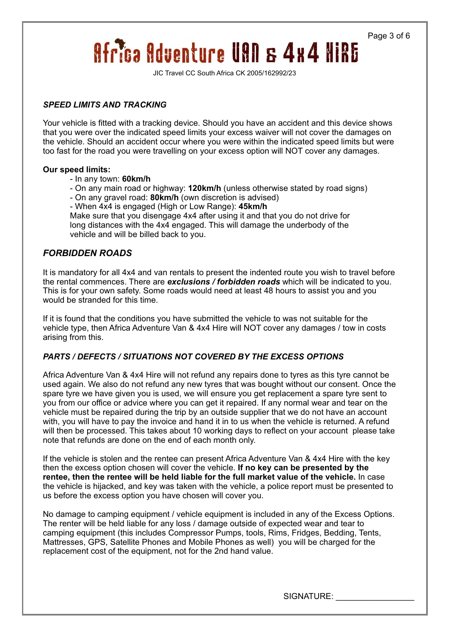Page 3 of 6

# **Africa Adventure UAN & 4x4 NIRE**

JIC Travel CC South Africa CK 2005/162992/23

#### *SPEED LIMITS AND TRACKING*

Your vehicle is fitted with a tracking device. Should you have an accident and this device shows that you were over the indicated speed limits your excess waiver will not cover the damages on the vehicle. Should an accident occur where you were within the indicated speed limits but were too fast for the road you were travelling on your excess option will NOT cover any damages.

#### **Our speed limits:**

- In any town: **60km/h**
- On any main road or highway: **120km/h** (unless otherwise stated by road signs)
- On any gravel road: **80km/h** (own discretion is advised)
- When 4x4 is engaged (High or Low Range): **45km/h**

Make sure that you disengage 4x4 after using it and that you do not drive for long distances with the 4x4 engaged. This will damage the underbody of the vehicle and will be billed back to you.

## *FORBIDDEN ROADS*

It is mandatory for all 4x4 and van rentals to present the indented route you wish to travel before the rental commences. There are *exclusions / forbidden roads* which will be indicated to you. This is for your own safety. Some roads would need at least 48 hours to assist you and you would be stranded for this time.

If it is found that the conditions you have submitted the vehicle to was not suitable for the vehicle type, then Africa Adventure Van & 4x4 Hire will NOT cover any damages / tow in costs arising from this.

### *PARTS / DEFECTS / SITUATIONS NOT COVERED BY THE EXCESS OPTIONS*

Africa Adventure Van & 4x4 Hire will not refund any repairs done to tyres as this tyre cannot be used again. We also do not refund any new tyres that was bought without our consent. Once the spare tyre we have given you is used, we will ensure you get replacement a spare tyre sent to you from our office or advice where you can get it repaired. If any normal wear and tear on the vehicle must be repaired during the trip by an outside supplier that we do not have an account with, you will have to pay the invoice and hand it in to us when the vehicle is returned. A refund will then be processed. This takes about 10 working days to reflect on your account please take note that refunds are done on the end of each month only.

If the vehicle is stolen and the rentee can present Africa Adventure Van & 4x4 Hire with the key then the excess option chosen will cover the vehicle. **If no key can be presented by the rentee, then the rentee will be held liable for the full market value of the vehicle.** In case the vehicle is hijacked, and key was taken with the vehicle, a police report must be presented to us before the excess option you have chosen will cover you.

No damage to camping equipment / vehicle equipment is included in any of the Excess Options. The renter will be held liable for any loss / damage outside of expected wear and tear to camping equipment (this includes Compressor Pumps, tools, Rims, Fridges, Bedding, Tents, Mattresses, GPS, Satellite Phones and Mobile Phones as well) you will be charged for the replacement cost of the equipment, not for the 2nd hand value.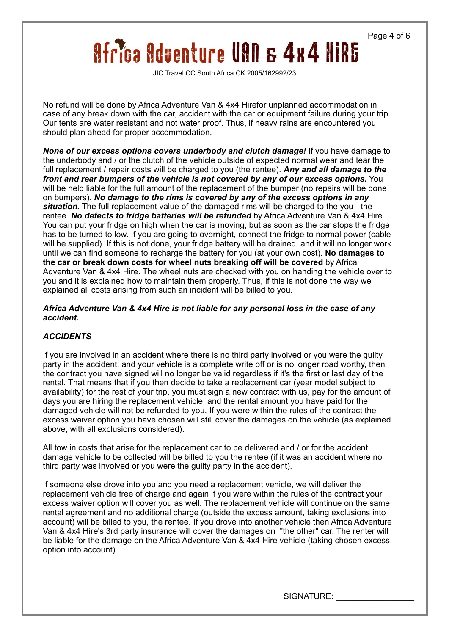Page 4 of 6

# **Africa Adventure UAN & 4x4 NiRE**

JIC Travel CC South Africa CK 2005/162992/23

No refund will be done by Africa Adventure Van & 4x4 Hirefor unplanned accommodation in case of any break down with the car, accident with the car or equipment failure during your trip. Our tents are water resistant and not water proof. Thus, if heavy rains are encountered you should plan ahead for proper accommodation.

*None of our excess options covers underbody and clutch damage!* If you have damage to the underbody and / or the clutch of the vehicle outside of expected normal wear and tear the full replacement / repair costs will be charged to you (the rentee). *Any and all damage to the front and rear bumpers of the vehicle is not covered by any of our excess options.* You will be held liable for the full amount of the replacement of the bumper (no repairs will be done on bumpers). *No damage to the rims is covered by any of the excess options in any situation.* The full replacement value of the damaged rims will be charged to the you - the rentee. *No defects to fridge batteries will be refunded* by Africa Adventure Van & 4x4 Hire. You can put your fridge on high when the car is moving, but as soon as the car stops the fridge has to be turned to low. If you are going to overnight, connect the fridge to normal power (cable will be supplied). If this is not done, your fridge battery will be drained, and it will no longer work until we can find someone to recharge the battery for you (at your own cost). **No damages to the car or break down costs for wheel nuts breaking off will be covered** by Africa Adventure Van & 4x4 Hire. The wheel nuts are checked with you on handing the vehicle over to you and it is explained how to maintain them properly. Thus, if this is not done the way we explained all costs arising from such an incident will be billed to you.

### *Africa Adventure Van & 4x4 Hire is not liable for any personal loss in the case of any accident.*

## *ACCIDENTS*

If you are involved in an accident where there is no third party involved or you were the guilty party in the accident, and your vehicle is a complete write off or is no longer road worthy, then the contract you have signed will no longer be valid regardless if it's the first or last day of the rental. That means that if you then decide to take a replacement car (year model subject to availability) for the rest of your trip, you must sign a new contract with us, pay for the amount of days you are hiring the replacement vehicle, and the rental amount you have paid for the damaged vehicle will not be refunded to you. If you were within the rules of the contract the excess waiver option you have chosen will still cover the damages on the vehicle (as explained above, with all exclusions considered).

All tow in costs that arise for the replacement car to be delivered and / or for the accident damage vehicle to be collected will be billed to you the rentee (if it was an accident where no third party was involved or you were the guilty party in the accident).

If someone else drove into you and you need a replacement vehicle, we will deliver the replacement vehicle free of charge and again if you were within the rules of the contract your excess waiver option will cover you as well. The replacement vehicle will continue on the same rental agreement and no additional charge (outside the excess amount, taking exclusions into account) will be billed to you, the rentee. If you drove into another vehicle then Africa Adventure Van & 4x4 Hire's 3rd party insurance will cover the damages on "the other" car. The renter will be liable for the damage on the Africa Adventure Van & 4x4 Hire vehicle (taking chosen excess option into account).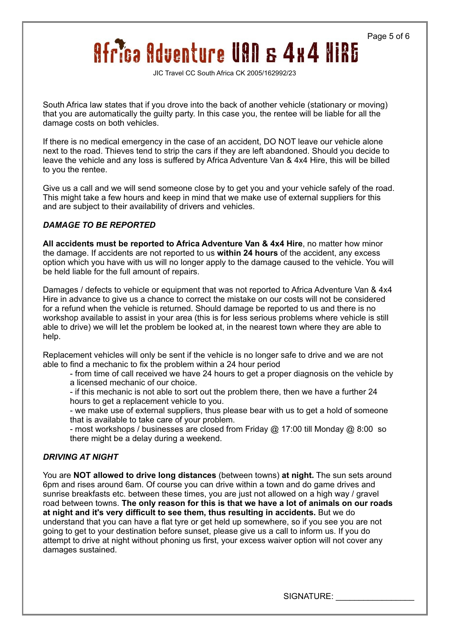Page 5 of 6

# **Africa Adventure UAN & 4x4 NIRE**

JIC Travel CC South Africa CK 2005/162992/23

South Africa law states that if you drove into the back of another vehicle (stationary or moving) that you are automatically the guilty party. In this case you, the rentee will be liable for all the damage costs on both vehicles.

If there is no medical emergency in the case of an accident, DO NOT leave our vehicle alone next to the road. Thieves tend to strip the cars if they are left abandoned. Should you decide to leave the vehicle and any loss is suffered by Africa Adventure Van & 4x4 Hire, this will be billed to you the rentee.

Give us a call and we will send someone close by to get you and your vehicle safely of the road. This might take a few hours and keep in mind that we make use of external suppliers for this and are subject to their availability of drivers and vehicles.

### *DAMAGE TO BE REPORTED*

**All accidents must be reported to Africa Adventure Van & 4x4 Hire**, no matter how minor the damage. If accidents are not reported to us **within 24 hours** of the accident, any excess option which you have with us will no longer apply to the damage caused to the vehicle. You will be held liable for the full amount of repairs.

Damages / defects to vehicle or equipment that was not reported to Africa Adventure Van & 4x4 Hire in advance to give us a chance to correct the mistake on our costs will not be considered for a refund when the vehicle is returned. Should damage be reported to us and there is no workshop available to assist in your area (this is for less serious problems where vehicle is still able to drive) we will let the problem be looked at, in the nearest town where they are able to help.

Replacement vehicles will only be sent if the vehicle is no longer safe to drive and we are not able to find a mechanic to fix the problem within a 24 hour period

- from time of call received we have 24 hours to get a proper diagnosis on the vehicle by a licensed mechanic of our choice.

- if this mechanic is not able to sort out the problem there, then we have a further 24 hours to get a replacement vehicle to you.

- we make use of external suppliers, thus please bear with us to get a hold of someone that is available to take care of your problem.

- most workshops / businesses are closed from Friday @ 17:00 till Monday @ 8:00 so there might be a delay during a weekend.

### *DRIVING AT NIGHT*

You are **NOT allowed to drive long distances** (between towns) **at night.** The sun sets around 6pm and rises around 6am. Of course you can drive within a town and do game drives and sunrise breakfasts etc. between these times, you are just not allowed on a high way / gravel road between towns. **The only reason for this is that we have a lot of animals on our roads at night and it's very difficult to see them, thus resulting in accidents.** But we do understand that you can have a flat tyre or get held up somewhere, so if you see you are not going to get to your destination before sunset, please give us a call to inform us. If you do attempt to drive at night without phoning us first, your excess waiver option will not cover any damages sustained.